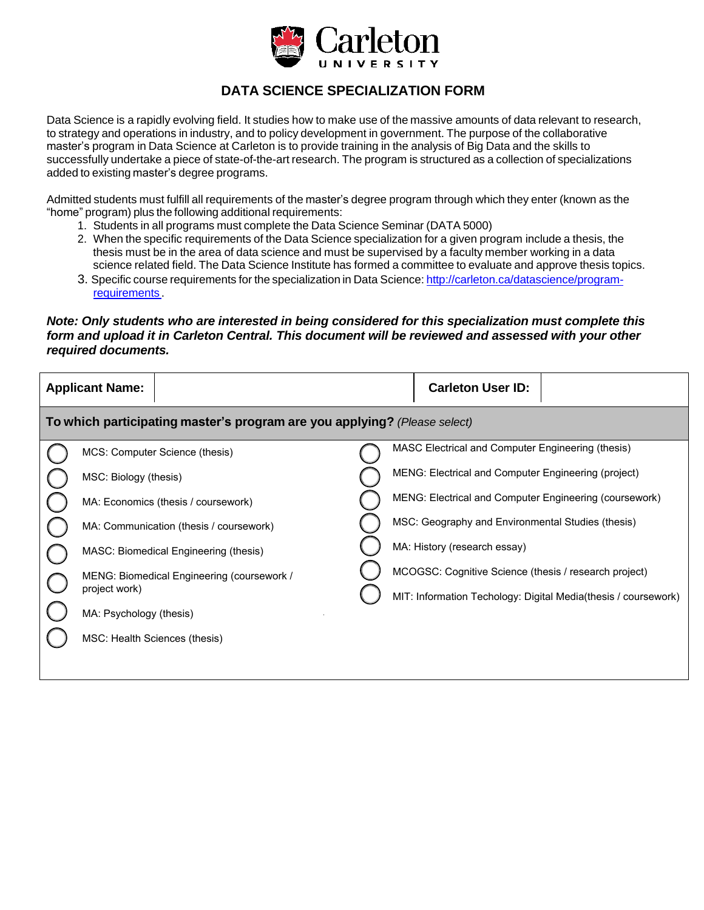

## **DATA SCIENCE SPECIALIZATION FORM**

Data Science is a rapidly evolving field. It studies how to make use of the massive amounts of data relevant to research, to strategy and operations in industry, and to policy development in government. The purpose of the collaborative master's program in Data Science at Carleton is to provide training in the analysis of Big Data and the skills to successfully undertake a piece of state-of-the-art research. The program is structured as a collection of specializations added to existing master's degree programs.

Admitted students must fulfill all requirements of the master's degree program through which they enter (known as the "home" program) plus the following additional requirements:

- 1. Students in all programs must complete the Data Science Seminar (DATA 5000)
- 2. When the specific requirements of the Data Science specialization for a given program include a thesis, the thesis must be in the area of data science and must be supervised by a faculty member working in a data science related field. The Data Science Institute has formed a committee to evaluate and approve thesis topics.
- 3. Specific course requirements for the specialization in Data Science: [http://carleton.ca/datascience/program](http://carleton.ca/datascience/program-requirements)[requirements](http://carleton.ca/datascience/program-requirements) .

## *Note: Only students who are interested in being considered for this specialization must complete this form and upload it in Carleton Central. This document will be reviewed and assessed with your other required documents.*

| <b>Applicant Name:</b>                                                    |                                            |  | <b>Carleton User ID:</b>                                       |
|---------------------------------------------------------------------------|--------------------------------------------|--|----------------------------------------------------------------|
| To which participating master's program are you applying? (Please select) |                                            |  |                                                                |
|                                                                           | MCS: Computer Science (thesis)             |  | MASC Electrical and Computer Engineering (thesis)              |
|                                                                           | MSC: Biology (thesis)                      |  | MENG: Electrical and Computer Engineering (project)            |
|                                                                           | MA: Economics (thesis / coursework)        |  | MENG: Electrical and Computer Engineering (coursework)         |
|                                                                           | MA: Communication (thesis / coursework)    |  | MSC: Geography and Environmental Studies (thesis)              |
|                                                                           | MASC: Biomedical Engineering (thesis)      |  | MA: History (research essay)                                   |
|                                                                           | MENG: Biomedical Engineering (coursework / |  | MCOGSC: Cognitive Science (thesis / research project)          |
|                                                                           | project work)                              |  | MIT: Information Techology: Digital Media(thesis / coursework) |
|                                                                           | MA: Psychology (thesis)                    |  |                                                                |
|                                                                           | MSC: Health Sciences (thesis)              |  |                                                                |
|                                                                           |                                            |  |                                                                |